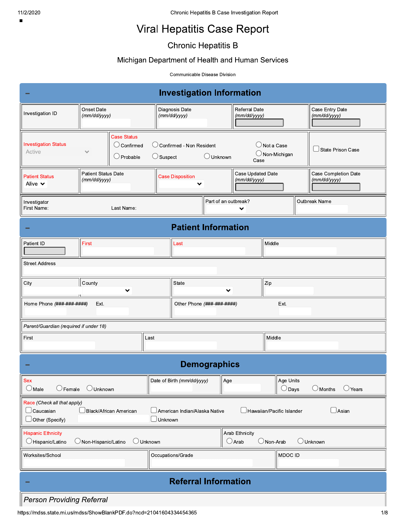$\blacksquare$ 

# **Viral Hepatitis Case Report**

# **Chronic Hepatitis B**

## Michigan Department of Health and Human Services

Communicable Disease Division

| <b>Investigation Information</b>                                                                                                                                                     |                                                               |                                                           |                                   |                                                  |                                       |  |  |
|--------------------------------------------------------------------------------------------------------------------------------------------------------------------------------------|---------------------------------------------------------------|-----------------------------------------------------------|-----------------------------------|--------------------------------------------------|---------------------------------------|--|--|
| Investigation ID                                                                                                                                                                     | Onset Date<br>(mm/dd/yyyy)                                    | Diagnosis Date<br>(mm/dd/yyyy)                            | Referral Date<br>(mm/dd/yyyy)     |                                                  | Case Entry Date<br>(mm/dd/yyyy)       |  |  |
| <b>Investigation Status</b><br>Active                                                                                                                                                | <b>Case Status</b><br>$\cup$ Confirmed<br>$\bigcirc$ Probable | $\bigcirc$ Confirmed - Non Resident<br>$\bigcirc$ Suspect | $\bigcup$ Unknown<br>Case         | $\bigcirc$ Not a Case<br>$\bigcirc$ Non-Michigan | $\Box$ State Prison Case              |  |  |
| <b>Patient Status</b><br>Alive $\vee$                                                                                                                                                | <b>Patient Status Date</b><br>(mm/dd/yyyy)                    | <b>Case Disposition</b>                                   | Case Updated Date<br>(mm/dd/yyyy) |                                                  | Case Completion Date<br>(mm/dd/yyyy)  |  |  |
| Investigator<br>First Name:                                                                                                                                                          | Last Name:                                                    |                                                           | Part of an outbreak?<br>╰         |                                                  | Outbreak Name                         |  |  |
|                                                                                                                                                                                      |                                                               |                                                           | <b>Patient Information</b>        |                                                  |                                       |  |  |
| Patient ID                                                                                                                                                                           | <b>First</b>                                                  | Last                                                      |                                   | Middle                                           |                                       |  |  |
| <b>Street Address</b>                                                                                                                                                                |                                                               |                                                           |                                   |                                                  |                                       |  |  |
| City                                                                                                                                                                                 | County<br>丷                                                   | State                                                     | 丷                                 | Zip                                              |                                       |  |  |
| Home Phone (###-###-####)                                                                                                                                                            | Ext.                                                          |                                                           | Other Phone (###-###-#####)       | Ext.                                             |                                       |  |  |
| Parent/Guardian (required if under 18)                                                                                                                                               |                                                               |                                                           |                                   |                                                  |                                       |  |  |
| First                                                                                                                                                                                | Middle<br>Last                                                |                                                           |                                   |                                                  |                                       |  |  |
|                                                                                                                                                                                      |                                                               |                                                           | <b>Demographics</b>               |                                                  |                                       |  |  |
| Sex<br>$\bigcirc$ Male<br>$\bigcirc$ Female                                                                                                                                          | <b>Unknown</b>                                                | Date of Birth (mm/dd/yyyy)                                | $\parallel$ Age                   | Age Units<br>$\bigcirc$ Days                     | $\bigcirc$ Months<br>$\bigcirc$ Years |  |  |
| Race (Check all that apply)<br>$\Box$ Asian<br>Black/African American<br>$\Box$ American Indian/Alaska Native<br>Hawaiian/Pacific Islander<br>Other (Specify)<br>$\Box$ Unknown      |                                                               |                                                           |                                   |                                                  |                                       |  |  |
| <b>Arab Ethnicity</b><br><b>Hispanic Ethnicity</b><br>$\bigcirc$ Arab<br>Hispanic/Latino<br>O Unknown<br>$\bigcirc$ Non-Arab<br>$\bigcirc$ Unknown<br>$\bigcirc$ Non-Hispanic/Latino |                                                               |                                                           |                                   |                                                  |                                       |  |  |
| Worksites/School                                                                                                                                                                     | Occupations/Grade<br>MDOC ID                                  |                                                           |                                   |                                                  |                                       |  |  |
| <b>Referral Information</b>                                                                                                                                                          |                                                               |                                                           |                                   |                                                  |                                       |  |  |
| <b>Person Providing Referral</b>                                                                                                                                                     |                                                               |                                                           |                                   |                                                  |                                       |  |  |

https://mdss.state.mi.us/mdss/ShowBlankPDF.do?ncd=21041604334454365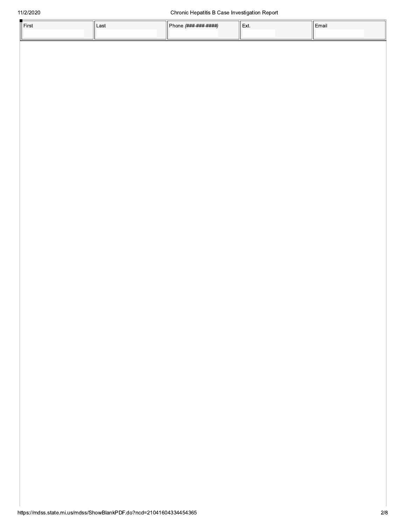| l First | Last | Phone <i>(###-###-####)</i> | ' Ext. | Email |
|---------|------|-----------------------------|--------|-------|
|         |      |                             |        |       |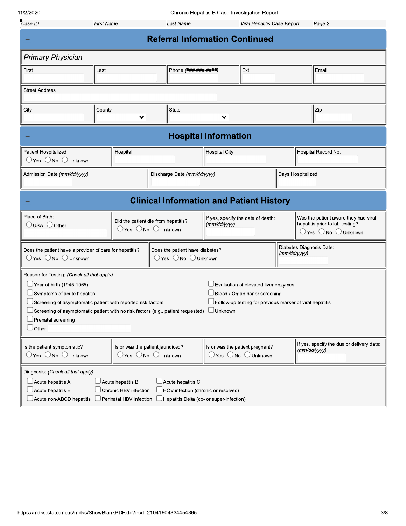| 11/2/2020                                                                                                                                                                                                                                                                                                                |                                                                                        |                                                                                                      |                             | Chronic Hepatitis B Case Investigation Report                                                                                     |              |                          |                                                                                                                            |
|--------------------------------------------------------------------------------------------------------------------------------------------------------------------------------------------------------------------------------------------------------------------------------------------------------------------------|----------------------------------------------------------------------------------------|------------------------------------------------------------------------------------------------------|-----------------------------|-----------------------------------------------------------------------------------------------------------------------------------|--------------|--------------------------|----------------------------------------------------------------------------------------------------------------------------|
| Case ID                                                                                                                                                                                                                                                                                                                  | <b>First Name</b>                                                                      | Last Name                                                                                            |                             | Viral Hepatitis Case Report                                                                                                       |              |                          | Page 2                                                                                                                     |
|                                                                                                                                                                                                                                                                                                                          |                                                                                        | <b>Referral Information Continued</b>                                                                |                             |                                                                                                                                   |              |                          |                                                                                                                            |
| <b>Primary Physician</b>                                                                                                                                                                                                                                                                                                 |                                                                                        |                                                                                                      |                             |                                                                                                                                   |              |                          |                                                                                                                            |
| First<br>Last                                                                                                                                                                                                                                                                                                            |                                                                                        | Phone (###-###-####)                                                                                 |                             | Ext.                                                                                                                              |              |                          | Email                                                                                                                      |
| <b>Street Address</b>                                                                                                                                                                                                                                                                                                    |                                                                                        |                                                                                                      |                             |                                                                                                                                   |              |                          |                                                                                                                            |
| City                                                                                                                                                                                                                                                                                                                     | County                                                                                 | <b>State</b>                                                                                         |                             |                                                                                                                                   |              |                          | Zip                                                                                                                        |
|                                                                                                                                                                                                                                                                                                                          |                                                                                        |                                                                                                      |                             |                                                                                                                                   |              |                          |                                                                                                                            |
|                                                                                                                                                                                                                                                                                                                          |                                                                                        |                                                                                                      | <b>Hospital Information</b> |                                                                                                                                   |              |                          |                                                                                                                            |
| Patient Hospitalized                                                                                                                                                                                                                                                                                                     | Hospital                                                                               |                                                                                                      | <b>Hospital City</b>        |                                                                                                                                   |              |                          | Hospital Record No.                                                                                                        |
| $\supset$ Yes $\bigcirc$ No $\bigcirc$ Unknown                                                                                                                                                                                                                                                                           |                                                                                        |                                                                                                      |                             |                                                                                                                                   |              |                          |                                                                                                                            |
| Days Hospitalized<br>Admission Date (mm/dd/yyyy)<br>Discharge Date (mm/dd/yyyy)                                                                                                                                                                                                                                          |                                                                                        |                                                                                                      |                             |                                                                                                                                   |              |                          |                                                                                                                            |
|                                                                                                                                                                                                                                                                                                                          |                                                                                        | <b>Clinical Information and Patient History</b>                                                      |                             |                                                                                                                                   |              |                          |                                                                                                                            |
| Place of Birth:<br>$\bigcirc$ USA $\bigcirc$ Other                                                                                                                                                                                                                                                                       | Did the patient die from hepatitis?<br>$\bigcirc$ Yes $\bigcirc$ No $\bigcirc$ Unknown |                                                                                                      | (mm/dd/yyyy)                | If yes, specify the date of death:                                                                                                |              |                          | Was the patient aware they had viral<br>hepatitis prior to lab testing?<br>$\bigcirc$ Yes $\bigcirc$ No $\bigcirc$ Unknown |
| Does the patient have a provider of care for hepatitis?<br>$\bigcirc$ Yes $\bigcirc$ No $\bigcirc$ Unknown                                                                                                                                                                                                               |                                                                                        | Does the patient have diabetes?<br>$\bigcirc$ Yes $\bigcirc$ No $\bigcirc$ Unknown                   |                             |                                                                                                                                   | (mm/dd/yyyy) | Diabetes Diagnosis Date: |                                                                                                                            |
| Reason for Testing: (Check all that apply)<br>$\Box$ Year of birth (1945-1965)<br>$\Box$ Symptoms of acute hepatitis<br>$\Box$ Screening of asymptomatic patient with no risk factors (e.g., patient requested)<br>$\Box$ Prenatal screening<br>$\cup$ Other                                                             |                                                                                        |                                                                                                      | ∪nknown                     | Evaluation of elevated liver enzymes<br>Blood / Organ donor screening<br>Follow-up testing for previous marker of viral hepatitis |              |                          |                                                                                                                            |
| If yes, specify the due or delivery date:<br>Is the patient symptomatic?<br>Is or was the patient jaundiced?<br>Is or was the patient pregnant?<br>(mm/dd/yyyy)<br>$\bigcirc$ Yes $\bigcirc$ No $\bigcirc$ Unknown<br>$\bigcirc$ Yes $\bigcirc$ No $\bigcirc$ Unknown<br>$\bigcirc$ Yes $\bigcirc$ No $\bigcirc$ Unknown |                                                                                        |                                                                                                      |                             |                                                                                                                                   |              |                          |                                                                                                                            |
| Diagnosis: (Check all that apply)<br>$\Box$ Acute hepatitis A<br>$\Box$ Acute hepatitis E                                                                                                                                                                                                                                | $\Box$ Acute hepatitis B<br>Chronic HBV infection<br>Perinatal HBV infection           | Acute hepatitis C<br>HCV infection (chronic or resolved)<br>Hepatitis Delta (co- or super-infection) |                             |                                                                                                                                   |              |                          |                                                                                                                            |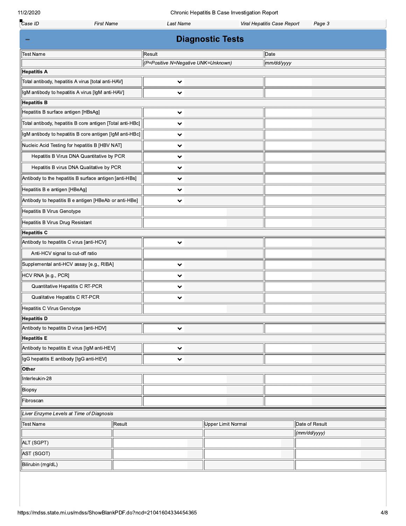Chronic Hepatitis B Case Investigation Report

| Case ID                                            | <b>First Name</b>                                         | <b>Last Name</b>                    |                           | Viral Hepatitis Case Report | Page 3         |  |  |  |
|----------------------------------------------------|-----------------------------------------------------------|-------------------------------------|---------------------------|-----------------------------|----------------|--|--|--|
| <b>Diagnostic Tests</b>                            |                                                           |                                     |                           |                             |                |  |  |  |
| <b>Test Name</b>                                   |                                                           | Result                              |                           | Date                        |                |  |  |  |
|                                                    |                                                           | (P=Positive N=Negative UNK=Unknown) |                           | mm/dd/yyyy                  |                |  |  |  |
| Hepatitis A                                        |                                                           |                                     |                           |                             |                |  |  |  |
| Total antibody, hepatitis A virus [total anti-HAV] |                                                           | $\checkmark$                        |                           |                             |                |  |  |  |
| IgM antibody to hepatitis A virus [IgM anti-HAV]   |                                                           | $\checkmark$                        |                           |                             |                |  |  |  |
| <b>Hepatitis B</b>                                 |                                                           |                                     |                           |                             |                |  |  |  |
| Hepatitis B surface antigen [HBsAg]                |                                                           | $\checkmark$                        |                           |                             |                |  |  |  |
|                                                    | Total antibody, hepatitis B core antigen [Total anti-HBc] | $\checkmark$                        |                           |                             |                |  |  |  |
|                                                    | IgM antibody to hepatitis B core antigen [IgM anti-HBc]   | 丷                                   |                           |                             |                |  |  |  |
| Nucleic Acid Testing for hepatitis B [HBV NAT]     |                                                           | $\checkmark$                        |                           |                             |                |  |  |  |
|                                                    | Hepatitis B Virus DNA Quantitative by PCR                 | $\checkmark$                        |                           |                             |                |  |  |  |
|                                                    | Hepatitis B virus DNA Qualitative by PCR                  | $\checkmark$                        |                           |                             |                |  |  |  |
|                                                    | Antibody to the hepatitis B surface antigen [anti-HBs]    | 丷                                   |                           |                             |                |  |  |  |
| Hepatitis B e antigen [HBeAg]                      |                                                           | 丷                                   |                           |                             |                |  |  |  |
|                                                    | Antibody to hepatitis B e antigen [HBeAb or anti-HBe]     | $\checkmark$                        |                           |                             |                |  |  |  |
| Hepatitis B Virus Genotype                         |                                                           |                                     |                           |                             |                |  |  |  |
| Hepatitis B Virus Drug Resistant                   |                                                           |                                     |                           |                             |                |  |  |  |
| <b>Hepatitis C</b>                                 |                                                           |                                     |                           |                             |                |  |  |  |
| Antibody to hepatitis C virus [anti-HCV]           |                                                           | $\checkmark$                        |                           |                             |                |  |  |  |
| Anti-HCV signal to cut-off ratio                   |                                                           |                                     |                           |                             |                |  |  |  |
| Supplemental anti-HCV assay [e.g., RIBA]           |                                                           | $\checkmark$                        |                           |                             |                |  |  |  |
| HCV RNA [e.g., PCR]                                |                                                           | 丷                                   |                           |                             |                |  |  |  |
| Quantitative Hepatitis C RT-PCR                    |                                                           | 丷                                   |                           |                             |                |  |  |  |
| Qualitative Hepatitis C RT-PCR                     |                                                           | 丷                                   |                           |                             |                |  |  |  |
| Hepatitis C Virus Genotype                         |                                                           |                                     |                           |                             |                |  |  |  |
| <b>Hepatitis D</b>                                 |                                                           |                                     |                           |                             |                |  |  |  |
| Antibody to hepatitis D virus [anti-HDV]           |                                                           | $\checkmark$                        |                           |                             |                |  |  |  |
| <b>Hepatitis E</b>                                 |                                                           |                                     |                           |                             |                |  |  |  |
| Antibody to hepatitis E virus [IgM anti-HEV]       |                                                           | $\checkmark$                        |                           |                             |                |  |  |  |
| IgG hepatitis E antibody [IgG anti-HEV]            |                                                           | 丷                                   |                           |                             |                |  |  |  |
| Other                                              |                                                           |                                     |                           |                             |                |  |  |  |
| Interleukin-28                                     |                                                           |                                     |                           |                             |                |  |  |  |
| Biopsy                                             |                                                           |                                     |                           |                             |                |  |  |  |
| Fibroscan                                          |                                                           |                                     |                           |                             |                |  |  |  |
| Liver Enzyme Levels at Time of Diagnosis           |                                                           |                                     |                           |                             |                |  |  |  |
| Test Name                                          | Result                                                    |                                     | <b>Upper Limit Normal</b> |                             | Date of Result |  |  |  |
|                                                    |                                                           |                                     |                           |                             | (mm/dd/yyyy)   |  |  |  |
| ALT (SGPT)                                         |                                                           |                                     |                           |                             |                |  |  |  |
| AST (SGOT)                                         |                                                           |                                     |                           |                             |                |  |  |  |
| Bilirubin (mg/dL)                                  |                                                           |                                     |                           |                             |                |  |  |  |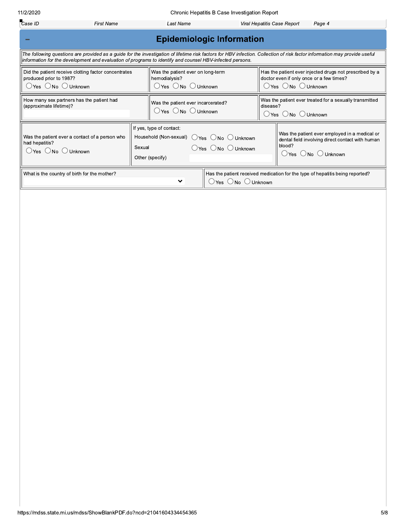What is the country of birth for the mother?

 $\bigcirc$  Yes  $\bigcirc$  No  $\bigcirc$  Unknown

Has the patient received medication for the type of hepatitis being reported?

| 11/2/2020                                                                                                                                                                                                                                                                                                                                                               | Chronic Hepatitis B Case Investigation Report                                                            |                                                       |                                                                                      |                                                 |                                                                                                                        |        |                                                                                                                                                                            |
|-------------------------------------------------------------------------------------------------------------------------------------------------------------------------------------------------------------------------------------------------------------------------------------------------------------------------------------------------------------------------|----------------------------------------------------------------------------------------------------------|-------------------------------------------------------|--------------------------------------------------------------------------------------|-------------------------------------------------|------------------------------------------------------------------------------------------------------------------------|--------|----------------------------------------------------------------------------------------------------------------------------------------------------------------------------|
| Case ID                                                                                                                                                                                                                                                                                                                                                                 | <b>First Name</b>                                                                                        |                                                       | Last Name<br>Viral Hepatitis Case Report<br>Page 4                                   |                                                 |                                                                                                                        |        |                                                                                                                                                                            |
|                                                                                                                                                                                                                                                                                                                                                                         |                                                                                                          |                                                       | <b>Epidemiologic Information</b>                                                     |                                                 |                                                                                                                        |        |                                                                                                                                                                            |
|                                                                                                                                                                                                                                                                                                                                                                         | information for the development and evaluation of programs to identify and counsel HBV-infected persons. |                                                       |                                                                                      |                                                 |                                                                                                                        |        | The following questions are provided as a guide for the investigation of lifetime risk factors for HBV infection. Collection of risk factor information may provide useful |
| Did the patient receive clotting factor concentrates<br>Has the patient ever injected drugs not prescribed by a<br>Was the patient ever on long-term<br>produced prior to 1987?<br>doctor even if only once or a few times?<br>hemodialysis?<br>○Yes ○No ○Unknown<br>$\bigcirc$ Yes $\bigcirc$ No $\bigcirc$ Unknown<br>$\bigcirc$ Yes $\bigcirc$ No $\bigcirc$ Unknown |                                                                                                          |                                                       |                                                                                      |                                                 |                                                                                                                        |        |                                                                                                                                                                            |
| How many sex partners has the patient had<br>(approximate lifetime)?                                                                                                                                                                                                                                                                                                    |                                                                                                          |                                                       | Was the patient ever incarcerated?<br>$\supset$ Yes $\bigcirc$ No $\bigcirc$ Unknown |                                                 | Was the patient ever treated for a sexually transmitted<br>disease?<br>$\bigcirc$ Yes $\bigcirc$ No $\bigcirc$ Unknown |        |                                                                                                                                                                            |
| had hepatitis?<br>$\bigcirc$ Yes $\bigcirc$ No $\bigcirc$ Unknown                                                                                                                                                                                                                                                                                                       | Was the patient ever a contact of a person who                                                           | If yes, type of contact:<br>Sexual<br>Other (specify) | Household (Non-sexual) O Yes O No O Unknown                                          | $\bigcirc$ Yes $\bigcirc$ No $\bigcirc$ Unknown |                                                                                                                        | blood? | Was the patient ever employed in a medical or<br>dental field involving direct contact with human<br>$\bigcirc$ Yes $\bigcirc$ No $\bigcirc$ Unknown                       |

 $\checkmark$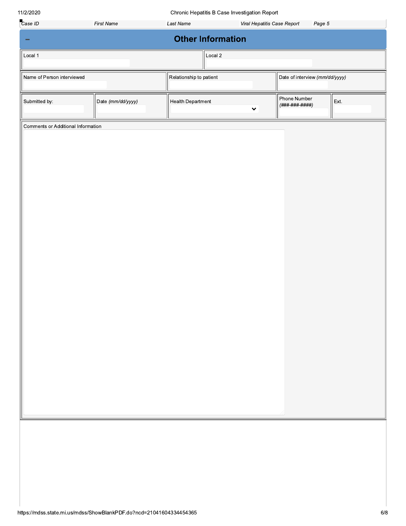Chronic Honotitic B Caso Invostigation  $\overline{a}$ 

| 11/2/2020                          |                   |                          | Chronic Hepatitis B Case Investigation Report |                                       |      |
|------------------------------------|-------------------|--------------------------|-----------------------------------------------|---------------------------------------|------|
| Case ID                            | <b>First Name</b> | Last Name                |                                               | Viral Hepatitis Case Report<br>Page 5 |      |
|                                    |                   | <b>Other Information</b> |                                               |                                       |      |
| Local 1                            |                   |                          | Local 2                                       |                                       |      |
| Name of Person interviewed         |                   | Relationship to patient  |                                               | Date of interview (mm/dd/yyyy)        |      |
| Submitted by:                      | Date (mm/dd/yyyy) | Health Department        | $\checkmark$                                  | Phone Number<br>(###-###-####)        | Ext. |
| Comments or Additional Information |                   |                          |                                               |                                       |      |
|                                    |                   |                          |                                               |                                       |      |
|                                    |                   |                          |                                               |                                       |      |
|                                    |                   |                          |                                               |                                       |      |
|                                    |                   |                          |                                               |                                       |      |
|                                    |                   |                          |                                               |                                       |      |
|                                    |                   |                          |                                               |                                       |      |
|                                    |                   |                          |                                               |                                       |      |
|                                    |                   |                          |                                               |                                       |      |
|                                    |                   |                          |                                               |                                       |      |
|                                    |                   |                          |                                               |                                       |      |
|                                    |                   |                          |                                               |                                       |      |
|                                    |                   |                          |                                               |                                       |      |
|                                    |                   |                          |                                               |                                       |      |
|                                    |                   |                          |                                               |                                       |      |
|                                    |                   |                          |                                               |                                       |      |
|                                    |                   |                          |                                               |                                       |      |
|                                    |                   |                          |                                               |                                       |      |
|                                    |                   |                          |                                               |                                       |      |
|                                    |                   |                          |                                               |                                       |      |
|                                    |                   |                          |                                               |                                       |      |
|                                    |                   |                          |                                               |                                       |      |
|                                    |                   |                          |                                               |                                       |      |
|                                    |                   |                          |                                               |                                       |      |
|                                    |                   |                          |                                               |                                       |      |
|                                    |                   |                          |                                               |                                       |      |
|                                    |                   |                          |                                               |                                       |      |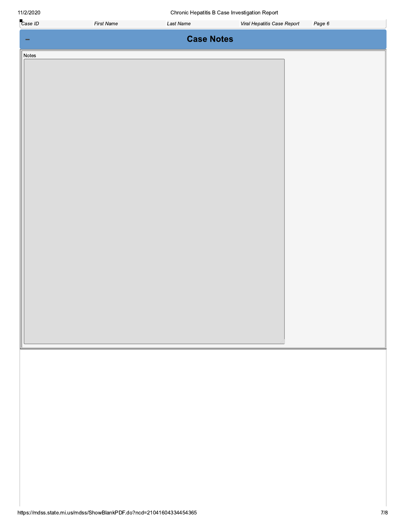